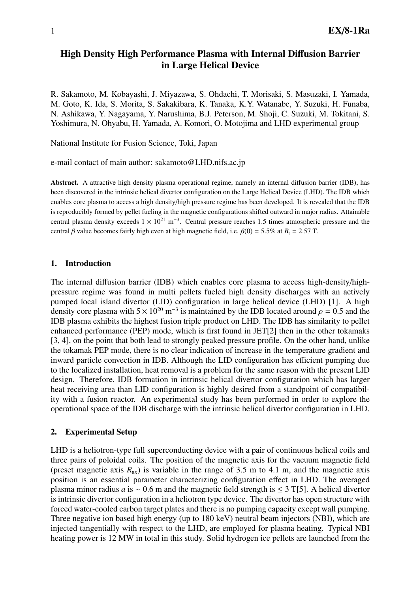# High Density High Performance Plasma with Internal Diffusion Barrier in Large Helical Device

R. Sakamoto, M. Kobayashi, J. Miyazawa, S. Ohdachi, T. Morisaki, S. Masuzaki, I. Yamada, M. Goto, K. Ida, S. Morita, S. Sakakibara, K. Tanaka, K.Y. Watanabe, Y. Suzuki, H. Funaba, N. Ashikawa, Y. Nagayama, Y. Narushima, B.J. Peterson, M. Shoji, C. Suzuki, M. Tokitani, S. Yoshimura, N. Ohyabu, H. Yamada, A. Komori, O. Motojima and LHD experimental group

National Institute for Fusion Science, Toki, Japan

e-mail contact of main author: sakamoto@LHD.nifs.ac.jp

Abstract. A attractive high density plasma operational regime, namely an internal diffusion barrier (IDB), has been discovered in the intrinsic helical divertor configuration on the Large Helical Device (LHD). The IDB which enables core plasma to access a high density/high pressure regime has been developed. It is revealed that the IDB is reproducibly formed by pellet fueling in the magnetic configurations shifted outward in major radius. Attainable central plasma density exceeds  $1 \times 10^{21}$  m<sup>-3</sup>. Central pressure reaches 1.5 times atmospheric pressure and the central β value becomes fairly high even at high magnetic field, i.e.  $\beta(0) = 5.5\%$  at  $B_t = 2.57$  T.

#### 1. Introduction

The internal diffusion barrier (IDB) which enables core plasma to access high-density/highpressure regime was found in multi pellets fueled high density discharges with an actively pumped local island divertor (LID) configuration in large helical device (LHD) [1]. A high density core plasma with  $5 \times 10^{20}$  m<sup>-3</sup> is maintained by the IDB located around  $\rho = 0.5$  and the IDB plasma exhibits the highest fusion triple product on LHD. The IDB has similarity to pellet enhanced performance (PEP) mode, which is first found in JET[2] then in the other tokamaks [3, 4], on the point that both lead to strongly peaked pressure profile. On the other hand, unlike the tokamak PEP mode, there is no clear indication of increase in the temperature gradient and inward particle convection in IDB. Although the LID configuration has efficient pumping due to the localized installation, heat removal is a problem for the same reason with the present LID design. Therefore, IDB formation in intrinsic helical divertor configuration which has larger heat receiving area than LID configuration is highly desired from a standpoint of compatibility with a fusion reactor. An experimental study has been performed in order to explore the operational space of the IDB discharge with the intrinsic helical divertor configuration in LHD.

#### 2. Experimental Setup

LHD is a heliotron-type full superconducting device with a pair of continuous helical coils and three pairs of poloidal coils. The position of the magnetic axis for the vacuum magnetic field (preset magnetic axis  $R_{ax}$ ) is variable in the range of 3.5 m to 4.1 m, and the magnetic axis position is an essential parameter characterizing configuration effect in LHD. The averaged plasma minor radius *a* is ∼ 0.6 m and the magnetic field strength is ≤ 3 T[5]. A helical divertor is intrinsic divertor configuration in a heliotron type device. The divertor has open structure with forced water-cooled carbon target plates and there is no pumping capacity except wall pumping. Three negative ion based high energy (up to 180 keV) neutral beam injectors (NBI), which are injected tangentially with respect to the LHD, are employed for plasma heating. Typical NBI heating power is 12 MW in total in this study. Solid hydrogen ice pellets are launched from the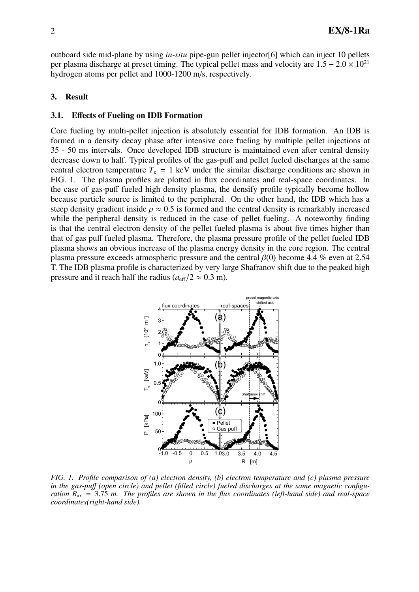outboard side mid-plane by using *in-situ* pipe-gun pellet injector[6] which can inject 10 pellets per plasma discharge at preset timing. The typical pellet mass and velocity are  $1.5 - 2.0 \times 10^{21}$ hydrogen atoms per pellet and 1000-1200 m/s, respectively.

## 3. Result

### 3.1. Effects of Fueling on IDB Formation

Core fueling by multi-pellet injection is absolutely essential for IDB formation. An IDB is formed in a density decay phase after intensive core fueling by multiple pellet injections at 35 - 50 ms intervals. Once developed IDB structure is maintained even after central density decrease down to half. Typical profiles of the gas-puff and pellet fueled discharges at the same central electron temperature  $T_e = 1$  keV under the similar discharge conditions are shown in FIG. 1. The plasma profiles are plotted in flux coordinates and real-space coordinates. In the case of gas-puff fueled high density plasma, the densify profile typically become hollow because particle source is limited to the peripheral. On the other hand, the IDB which has a steep density gradient inside  $\rho \approx 0.5$  is formed and the central density is remarkably increased while the peripheral density is reduced in the case of pellet fueling. A noteworthy finding is that the central electron density of the pellet fueled plasma is about five times higher than that of gas puff fueled plasma. Therefore, the plasma pressure profile of the pellet fueled IDB plasma shows an obvious increase of the plasma energy density in the core region. The central plasma pressure exceeds atmospheric pressure and the central  $\beta(0)$  become 4.4 % even at 2.54 T. The IDB plasma profile is characterized by very large Shafranov shift due to the peaked high pressure and it reach half the radius ( $a_{\text{eff}}/2 \approx 0.3$  m).



*FIG. 1. Profile comparison of (a) electron density, (b) electron temperature and (c) plasma pressure in the gas-pu*ff *(open circle) and pellet (filled circle) fueled discharges at the same magnetic configuration R*ax = 3.75 *m. The profiles are shown in the flux coordinates (left-hand side) and real-space coordinates(right-hand side).*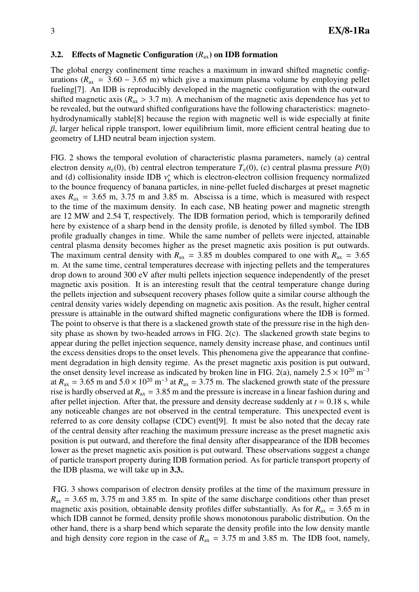### 3.2. Effects of Magnetic Configuration (*R*ax) on IDB formation

The global energy confinement time reaches a maximum in inward shifted magnetic configurations ( $R_{ax}$  = 3.60 – 3.65 m) which give a maximum plasma volume by employing pellet fueling[7]. An IDB is reproducibly developed in the magnetic configuration with the outward shifted magnetic axis ( $R_{ax} > 3.7$  m). A mechanism of the magnetic axis dependence has yet to be revealed, but the outward shifted configurations have the following characteristics: magnetohydrodynamically stable[8] because the region with magnetic well is wide especially at finite  $\beta$ , larger helical ripple transport, lower equilibrium limit, more efficient central heating due to geometry of LHD neutral beam injection system.

FIG. 2 shows the temporal evolution of characteristic plasma parameters, namely (a) central electron density  $n_e(0)$ , (b) central electron temperature  $T_e(0)$ , (c) central plasma pressure  $P(0)$ and (d) collisionality inside IDB  $v_b^*$  which is electron-electron collision frequency normalized to the bounce frequency of banana particles, in nine-pellet fueled discharges at preset magnetic axes  $R_{ax} = 3.65$  m, 3.75 m and 3.85 m. Abscissa is a time, which is measured with respect to the time of the maximum density. In each case, NB heating power and magnetic strength are 12 MW and 2.54 T, respectively. The IDB formation period, which is temporarily defined here by existence of a sharp bend in the density profile, is denoted by filled symbol. The IDB profile gradually changes in time. While the same number of pellets were injected, attainable central plasma density becomes higher as the preset magnetic axis position is put outwards. The maximum central density with  $R_{ax} = 3.85$  m doubles compared to one with  $R_{ax} = 3.65$ m. At the same time, central temperatures decrease with injecting pellets and the temperatures drop down to around 300 eV after multi pellets injection sequence independently of the preset magnetic axis position. It is an interesting result that the central temperature change during the pellets injection and subsequent recovery phases follow quite a similar course although the central density varies widely depending on magnetic axis position. As the result, higher central pressure is attainable in the outward shifted magnetic configurations where the IDB is formed. The point to observe is that there is a slackened growth state of the pressure rise in the high density phase as shown by two-headed arrows in FIG. 2(c). The slackened growth state begins to appear during the pellet injection sequence, namely density increase phase, and continues until the excess densities drops to the onset levels. This phenomena give the appearance that confinement degradation in high density regime. As the preset magnetic axis position is put outward, the onset density level increase as indicated by broken line in FIG. 2(a), namely  $2.5 \times 10^{20}$  m<sup>-3</sup> at  $R_{ax} = 3.65$  m and  $5.0 \times 10^{20}$  m<sup>-3</sup> at  $R_{ax} = 3.75$  m. The slackened growth state of the pressure rise is hardly observed at  $R_{ax} = 3.85$  m and the pressure is increase in a linear fashion during and after pellet injection. After that, the pressure and density decrease suddenly at  $t = 0.18$  s, while any noticeable changes are not observed in the central temperature. This unexpected event is referred to as core density collapse (CDC) event[9]. It must be also noted that the decay rate of the central density after reaching the maximum pressure increase as the preset magnetic axis position is put outward, and therefore the final density after disappearance of the IDB becomes lower as the preset magnetic axis position is put outward. These observations suggest a change of particle transport property during IDB formation period. As for particle transport property of the IDB plasma, we will take up in 3.3..

FIG. 3 shows comparison of electron density profiles at the time of the maximum pressure in  $R_{ax}$  = 3.65 m, 3.75 m and 3.85 m. In spite of the same discharge conditions other than preset magnetic axis position, obtainable density profiles differ substantially. As for  $R_{ax} = 3.65$  m in which IDB cannot be formed, density profile shows monotonous parabolic distribution. On the other hand, there is a sharp bend which separate the density profile into the low density mantle and high density core region in the case of  $R_{ax} = 3.75$  m and 3.85 m. The IDB foot, namely,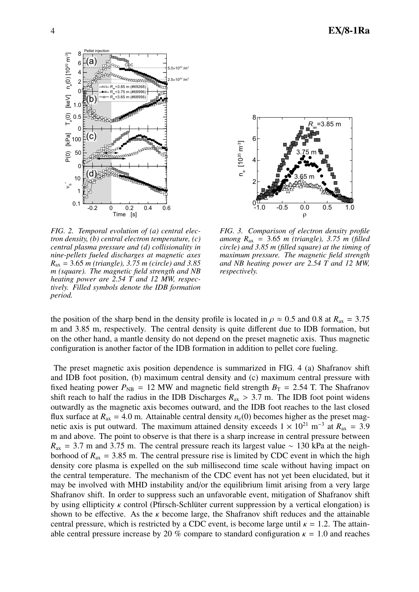

*FIG. 2. Temporal evolution of (a) central electron density, (b) central electron temperature, (c) central plasma pressure and (d) collisionality in nine-pellets fueled discharges at magnetic axes R*ax = 3.65 *m (triangle), 3.75 m (circle) and 3.85 m (square). The magnetic field strength and NB heating power are 2.54 T and 12 MW, respectively. Filled symbols denote the IDB formation period.*



*FIG. 3. Comparison of electron density profile among R*ax = 3.65 *m (triangle), 3.75 m (filled circle) and 3.85 m (filled square) at the timing of maximum pressure. The magnetic field strength and NB heating power are 2.54 T and 12 MW, respectively.*

the position of the sharp bend in the density profile is located in  $\rho \approx 0.5$  and 0.8 at  $R_{ax} = 3.75$ m and 3.85 m, respectively. The central density is quite different due to IDB formation, but on the other hand, a mantle density do not depend on the preset magnetic axis. Thus magnetic configuration is another factor of the IDB formation in addition to pellet core fueling.

The preset magnetic axis position dependence is summarized in FIG. 4 (a) Shafranov shift and IDB foot position, (b) maximum central density and (c) maximum central pressure with fixed heating power  $P_{\text{NB}} = 12$  MW and magnetic field strength  $B_T = 2.54$  T. The Shafranov shift reach to half the radius in the IDB Discharges  $R_{ax} > 3.7$  m. The IDB foot point widens outwardly as the magnetic axis becomes outward, and the IDB foot reaches to the last closed flux surface at  $R_{ax} = 4.0$  m. Attainable central density  $n_e(0)$  becomes higher as the preset magnetic axis is put outward. The maximum attained density exceeds  $1 \times 10^{21}$  m<sup>-3</sup> at  $R_{ax} = 3.9$ m and above. The point to observe is that there is a sharp increase in central pressure between  $R_{\text{ax}} = 3.7$  m and 3.75 m. The central pressure reach its largest value ~ 130 kPa at the neighborhood of  $R_{ax} = 3.85$  m. The central pressure rise is limited by CDC event in which the high density core plasma is expelled on the sub millisecond time scale without having impact on the central temperature. The mechanism of the CDC event has not yet been elucidated, but it may be involved with MHD instability and/or the equilibrium limit arising from a very large Shafranov shift. In order to suppress such an unfavorable event, mitigation of Shafranov shift by using ellipticity  $\kappa$  control (Pfirsch-Schlüter current suppression by a vertical elongation) is shown to be effective. As the  $\kappa$  become large, the Shafranov shift reduces and the attainable central pressure, which is restricted by a CDC event, is become large until  $\kappa = 1.2$ . The attainable central pressure increase by 20 % compare to standard configuration  $\kappa = 1.0$  and reaches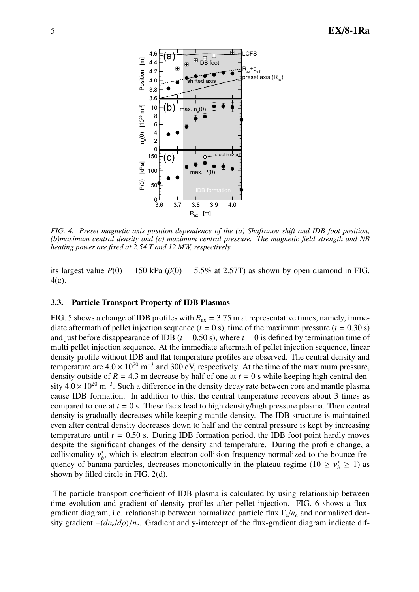

*FIG. 4. Preset magnetic axis position dependence of the (a) Shafranov shift and IDB foot position, (b)maximum central density and (c) maximum central pressure. The magnetic field strength and NB heating power are fixed at 2.54 T and 12 MW, respectively.*

its largest value  $P(0) = 150 \text{ kPa } (\beta(0) = 5.5\% \text{ at } 2.57 \text{T})$  as shown by open diamond in FIG. 4(c).

### 3.3. Particle Transport Property of IDB Plasmas

FIG. 5 shows a change of IDB profiles with  $R_{ax} = 3.75$  m at representative times, namely, immediate aftermath of pellet injection sequence  $(t = 0 s)$ , time of the maximum pressure  $(t = 0.30 s)$ and just before disappearance of IDB ( $t = 0.50$  s), where  $t = 0$  is defined by termination time of multi pellet injection sequence. At the immediate aftermath of pellet injection sequence, linear density profile without IDB and flat temperature profiles are observed. The central density and temperature are  $4.0 \times 10^{20}$  m<sup>-3</sup> and 300 eV, respectively. At the time of the maximum pressure, density outside of  $R = 4.3$  m decrease by half of one at  $t = 0$  s while keeping high central density  $4.0 \times 10^{20}$  m<sup>-3</sup>. Such a difference in the density decay rate between core and mantle plasma cause IDB formation. In addition to this, the central temperature recovers about 3 times as compared to one at  $t = 0$  s. These facts lead to high density/high pressure plasma. Then central density is gradually decreases while keeping mantle density. The IDB structure is maintained even after central density decreases down to half and the central pressure is kept by increasing temperature until  $t = 0.50$  s. During IDB formation period, the IDB foot point hardly moves despite the significant changes of the density and temperature. During the profile change, a collisionality  $v_b^*$ , which is electron-electron collision frequency normalized to the bounce frequency of banana particles, decreases monotonically in the plateau regime ( $10 \ge v_b^* \ge 1$ ) as shown by filled circle in FIG. 2(d).

The particle transport coefficient of IDB plasma is calculated by using relationship between time evolution and gradient of density profiles after pellet injection. FIG. 6 shows a fluxgradient diagram, i.e. relationship between normalized particle flux Γe/*n*<sup>e</sup> and normalized density gradient  $-(dn_e/d\rho)/n_e$ . Gradient and y-intercept of the flux-gradient diagram indicate dif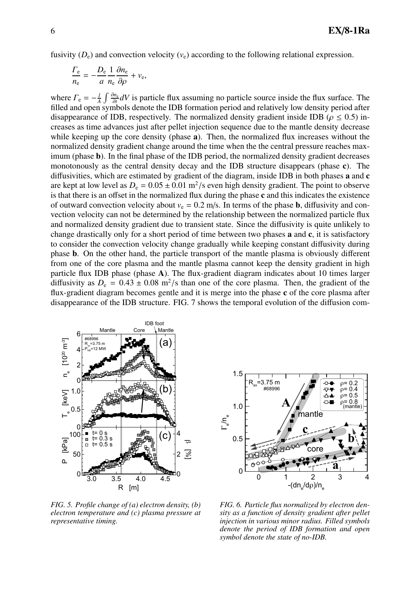fusivity  $(D_e)$  and convection velocity  $(v_e)$  according to the following relational expression.

$$
\frac{\Gamma_{\rm e}}{n_{\rm e}} = -\frac{D_{\rm e}}{a} \frac{1}{n_{\rm e}} \frac{\partial n_{\rm e}}{\partial \rho} + v_{\rm e},
$$

where  $\Gamma_e = -\frac{I}{A}$  $\frac{1}{A}$  ∫  $\frac{\partial n_e}{\partial t}$ *n*<sup>t</sup><sup>*n*</sup> $\frac{\partial n}{\partial t}$  *dV* is particle flux assuming no particle source inside the flux surface. The filled and open symbols denote the IDB formation period and relatively low density period after disappearance of IDB, respectively. The normalized density gradient inside IDB ( $\rho \le 0.5$ ) increases as time advances just after pellet injection sequence due to the mantle density decrease while keeping up the core density (phase **a**). Then, the normalized flux increases without the normalized density gradient change around the time when the the central pressure reaches maximum (phase b). In the final phase of the IDB period, the normalized density gradient decreases monotonously as the central density decay and the IDB structure disappears (phase c). The diffusivities, which are estimated by gradient of the diagram, inside IDB in both phases a and c are kept at low level as  $D_e = 0.05 \pm 0.01 \text{ m}^2/\text{s}$  even high density gradient. The point to observe is that there is an offset in the normalized flux during the phase c and this indicates the existence of outward convection velocity about  $v_e = 0.2$  m/s. In terms of the phase **b**, diffusivity and convection velocity can not be determined by the relationship between the normalized particle flux and normalized density gradient due to transient state. Since the diffusivity is quite unlikely to change drastically only for a short period of time between two phases a and c, it is satisfactory to consider the convection velocity change gradually while keeping constant diffusivity during phase b. On the other hand, the particle transport of the mantle plasma is obviously different from one of the core plasma and the mantle plasma cannot keep the density gradient in high particle flux IDB phase (phase A). The flux-gradient diagram indicates about 10 times larger diffusivity as  $D_e = 0.43 \pm 0.08$  m<sup>2</sup>/s than one of the core plasma. Then, the gradient of the flux-gradient diagram becomes gentle and it is merge into the phase c of the core plasma after disappearance of the IDB structure. FIG. 7 shows the temporal evolution of the diffusion com-



*FIG. 5. Profile change of (a) electron density, (b) electron temperature and (c) plasma pressure at representative timing.*



*FIG. 6. Particle flux normalized by electron density as a function of density gradient after pellet injection in various minor radius. Filled symbols denote the period of IDB formation and open symbol denote the state of no-IDB.*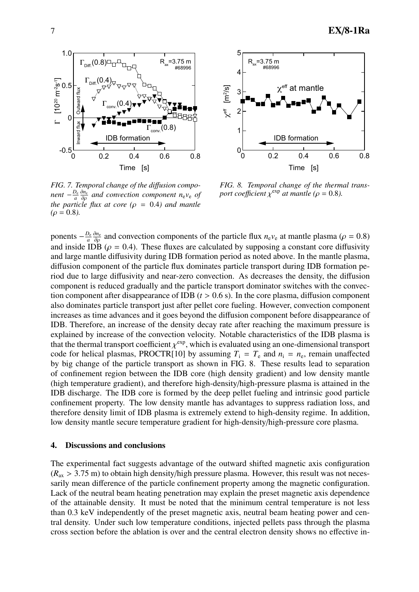

*FIG. 7. Temporal change of the di*ff*usion compo* $n$ *ent*  $-\frac{D_e}{a}$ *a* ∂*n*<sup>e</sup> ∂ρ *and convection component n*e*v*<sup>e</sup> *of the particle flux at core (* $\rho = 0.4$ *) and mantle*  $(\rho = 0.8)$ .



*FIG. 8. Temporal change of the thermal transport coefficient*  $\chi^{\exp}$  *at mantle (* $\rho = 0.8$ *).* 

ponents  $-\frac{D_e}{a}$ *a*  $\frac{\partial n_e}{\partial \rho}$  and convection components of the particle flux  $n_e v_e$  at mantle plasma ( $\rho = 0.8$ ) and inside IDB ( $\rho = 0.4$ ). These fluxes are calculated by supposing a constant core diffusivity and large mantle diffusivity during IDB formation period as noted above. In the mantle plasma, diffusion component of the particle flux dominates particle transport during IDB formation period due to large diffusivity and near-zero convection. As decreases the density, the diffusion component is reduced gradually and the particle transport dominator switches with the convection component after disappearance of IDB  $(t > 0.6 s)$ . In the core plasma, diffusion component also dominates particle transport just after pellet core fueling. However, convection component increases as time advances and it goes beyond the diffusion component before disappearance of IDB. Therefore, an increase of the density decay rate after reaching the maximum pressure is explained by increase of the convection velocity. Notable characteristics of the IDB plasma is that the thermal transport coefficient  $\chi^{\text{exp}}$ , which is evaluated using an one-dimensional transport code for helical plasmas, PROCTR[10] by assuming  $T_i = T_e$  and  $n_i = n_e$ , remain unaffected by big change of the particle transport as shown in FIG. 8. These results lead to separation of confinement region between the IDB core (high density gradient) and low density mantle (high temperature gradient), and therefore high-density/high-pressure plasma is attained in the IDB discharge. The IDB core is formed by the deep pellet fueling and intrinsic good particle confinement property. The low density mantle has advantages to suppress radiation loss, and therefore density limit of IDB plasma is extremely extend to high-density regime. In addition, low density mantle secure temperature gradient for high-density/high-pressure core plasma.

#### 4. Discussions and conclusions

The experimental fact suggests advantage of the outward shifted magnetic axis configuration  $(R_{ax} > 3.75 \text{ m})$  to obtain high density/high pressure plasma. However, this result was not necessarily mean difference of the particle confinement property among the magnetic configuration. Lack of the neutral beam heating penetration may explain the preset magnetic axis dependence of the attainable density. It must be noted that the minimum central temperature is not less than 0.3 keV independently of the preset magnetic axis, neutral beam heating power and central density. Under such low temperature conditions, injected pellets pass through the plasma cross section before the ablation is over and the central electron density shows no effective in